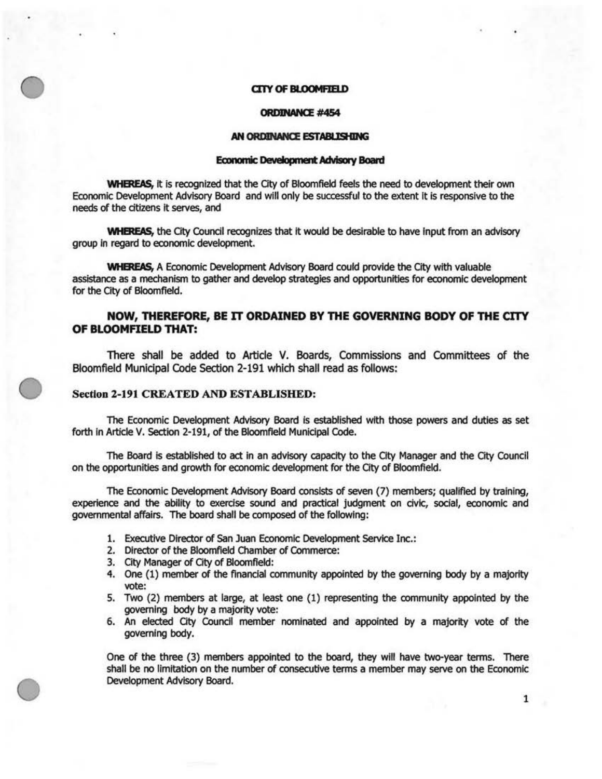### **Cl1Y OF BLOOMFIELD**

### **ORDINN«E #454**

#### **AN ORDINANCE ESTABIJSHING**

## Economic Development Advisory Board

**WHEREAS**, it is recognized that the City of Bloomfield feels the need to development their own Economic Development Advisory Board and will only be successful to the extent It Is responsive to the needs of the citizens It serves, and

**WHEREAS,** the City Council recognizes that it would be desirable to have input from an advisory group in regard to economic development.

WHEREAS, A Economic Development Advisory Board could provide the City with valuable assistance as a mechanism to gather and develop strategies and opportunities for economic development for the City of Bloomfield.

# **NOW, THEREFORE, BE IT ORDAINED BY THE GOVERNING BODY OF THE CITY OF BLOOMFIELD THAT:**

There shall be added to Article V. Boards, Commissions and Committees of the Bloomfield Municipal Code Section 2-191 which shall read as follows:

# Section 2-191 CREATED AND ESTABLISHED:

The Economic Development *Advisory* Board Is established with those powers and duties as set forth in Article V. Section 2-191, of the Bloomfield Municipal Code.

The Board is established to act in an advisory capacity to the City Manager and the City Council on the opportunities and growth for economic development for the City of Bloomfield.

The Economic Development Advisory Board consists of seven (7) members; qualified by training, experience and the abllity to exercise sound and practical judgment on civic, social, economic and governmental affairs. The board shall be composed of the following:

- 1. Executive Director of San Juan Economic Development Service Inc.:
- 2. Director of the Bloomfield Chamber of Commerce:
- 3. City Manager of City of Bloomfield:
- 4. One (1) member of the financial community appointed by the governing body by a majority vote:
- 5. Two (2) members at large, at least one (1) representing the community appointed by the governing body by a majority vote:
- 6. An elected City Council member nominated and appointed by a majority vote of the governing body.

One of the three (3) members appointed to the board, they will have two-year terms. There shall be no limitation on the number of consecutive terms a member may serve on the Economic Development Advisory Board.